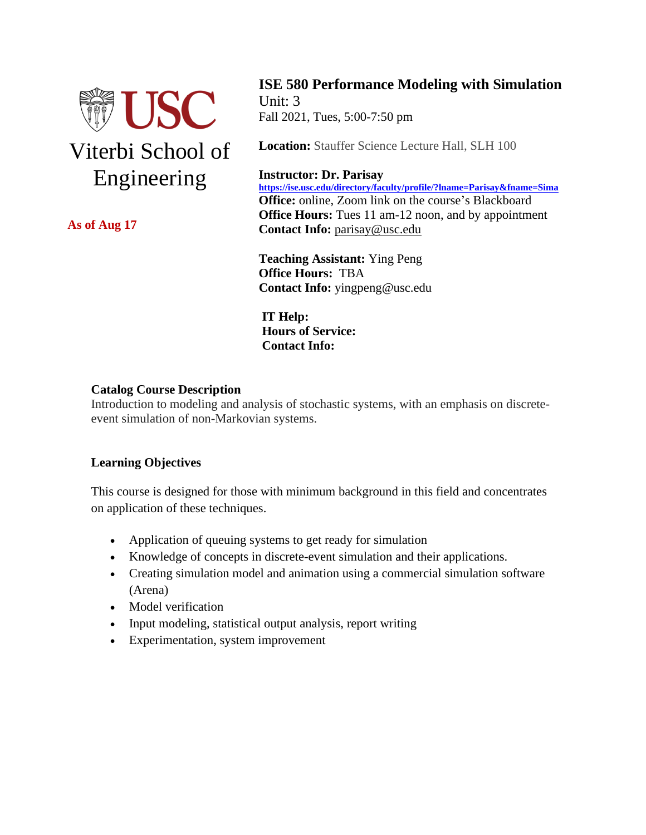

**As of Aug 17**

**ISE 580 Performance Modeling with Simulation** Unit: 3 Fall 2021, Tues, 5:00-7:50 pm

**Location:** Stauffer Science Lecture Hall, SLH 100

### **Instructor: Dr. Parisay**

**<https://ise.usc.edu/directory/faculty/profile/?lname=Parisay&fname=Sima> Office:** online, Zoom link on the course's Blackboard **Office Hours:** Tues 11 am-12 noon, and by appointment **Contact Info:** [parisay@usc.edu](mailto:parisay@usc.edu)

**Teaching Assistant:** Ying Peng **Office Hours:** TBA  **Contact Info:** yingpeng@usc.edu

 **IT Help: Hours of Service: Contact Info:** 

### **Catalog Course Description**

Introduction to modeling and analysis of stochastic systems, with an emphasis on discreteevent simulation of non-Markovian systems.

### **Learning Objectives**

This course is designed for those with minimum background in this field and concentrates on application of these techniques.

- Application of queuing systems to get ready for simulation
- Knowledge of concepts in discrete-event simulation and their applications.
- Creating simulation model and animation using a commercial simulation software (Arena)
- Model verification
- Input modeling, statistical output analysis, report writing
- Experimentation, system improvement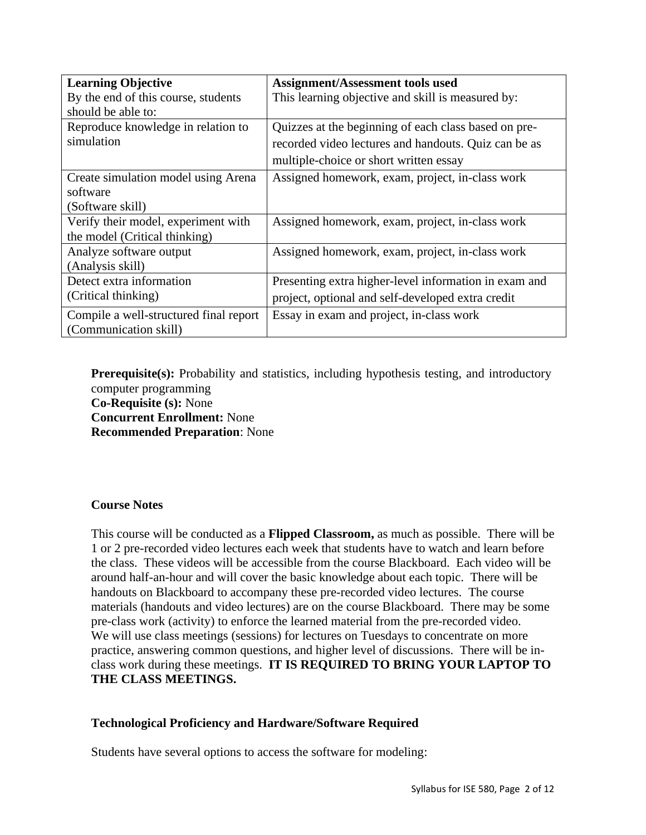| <b>Learning Objective</b>              | <b>Assignment/Assessment tools used</b>               |
|----------------------------------------|-------------------------------------------------------|
| By the end of this course, students    | This learning objective and skill is measured by:     |
| should be able to:                     |                                                       |
| Reproduce knowledge in relation to     | Quizzes at the beginning of each class based on pre-  |
| simulation                             | recorded video lectures and handouts. Quiz can be as  |
|                                        | multiple-choice or short written essay                |
| Create simulation model using Arena    | Assigned homework, exam, project, in-class work       |
| software                               |                                                       |
| (Software skill)                       |                                                       |
| Verify their model, experiment with    | Assigned homework, exam, project, in-class work       |
| the model (Critical thinking)          |                                                       |
| Analyze software output                | Assigned homework, exam, project, in-class work       |
| (Analysis skill)                       |                                                       |
| Detect extra information               | Presenting extra higher-level information in exam and |
| (Critical thinking)                    | project, optional and self-developed extra credit     |
| Compile a well-structured final report | Essay in exam and project, in-class work              |
| (Communication skill)                  |                                                       |

**Prerequisite(s):** Probability and statistics, including hypothesis testing, and introductory computer programming **Co-Requisite (s):** None **Concurrent Enrollment:** None **Recommended Preparation**: None

### **Course Notes**

This course will be conducted as a **Flipped Classroom,** as much as possible. There will be 1 or 2 pre-recorded video lectures each week that students have to watch and learn before the class. These videos will be accessible from the course Blackboard. Each video will be around half-an-hour and will cover the basic knowledge about each topic. There will be handouts on Blackboard to accompany these pre-recorded video lectures. The course materials (handouts and video lectures) are on the course Blackboard. There may be some pre-class work (activity) to enforce the learned material from the pre-recorded video. We will use class meetings (sessions) for lectures on Tuesdays to concentrate on more practice, answering common questions, and higher level of discussions. There will be inclass work during these meetings. **IT IS REQUIRED TO BRING YOUR LAPTOP TO THE CLASS MEETINGS.**

### **Technological Proficiency and Hardware/Software Required**

Students have several options to access the software for modeling: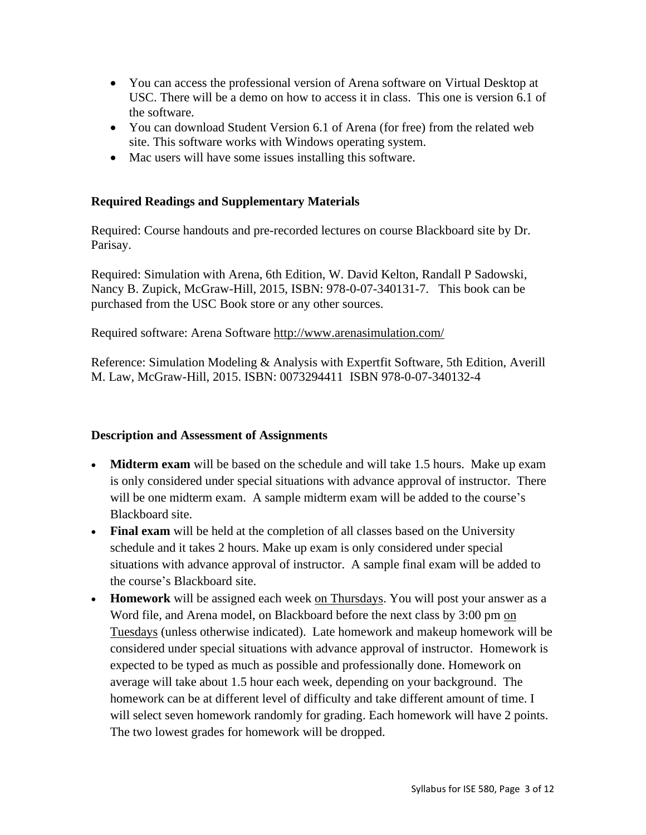- You can access the professional version of Arena software on Virtual Desktop at USC. There will be a demo on how to access it in class. This one is version 6.1 of the software.
- You can download Student Version 6.1 of Arena (for free) from the related web site. This software works with Windows operating system.
- Mac users will have some issues installing this software.

## **Required Readings and Supplementary Materials**

Required: Course handouts and pre-recorded lectures on course Blackboard site by Dr. Parisay.

Required: Simulation with Arena, 6th Edition, W. David Kelton, Randall P Sadowski, Nancy B. Zupick, McGraw-Hill, 2015, ISBN: 978-0-07-340131-7. This book can be purchased from the USC Book store or any other sources.

Required software: Arena Software<http://www.arenasimulation.com/>

Reference: Simulation Modeling & Analysis with Expertfit Software, 5th Edition, Averill M. Law, McGraw-Hill, 2015. ISBN: 0073294411 ISBN 978-0-07-340132-4

## **Description and Assessment of Assignments**

- **Midterm exam** will be based on the schedule and will take 1.5 hours. Make up exam is only considered under special situations with advance approval of instructor.There will be one midterm exam. A sample midterm exam will be added to the course's Blackboard site.
- **Final exam** will be held at the completion of all classes based on the University schedule and it takes 2 hours. Make up exam is only considered under special situations with advance approval of instructor.A sample final exam will be added to the course's Blackboard site.
- **Homework** will be assigned each week on Thursdays. You will post your answer as a Word file, and Arena model, on Blackboard before the next class by 3:00 pm on Tuesdays (unless otherwise indicated). Late homework and makeup homework will be considered under special situations with advance approval of instructor.Homework is expected to be typed as much as possible and professionally done. Homework on average will take about 1.5 hour each week, depending on your background. The homework can be at different level of difficulty and take different amount of time. I will select seven homework randomly for grading. Each homework will have 2 points. The two lowest grades for homework will be dropped.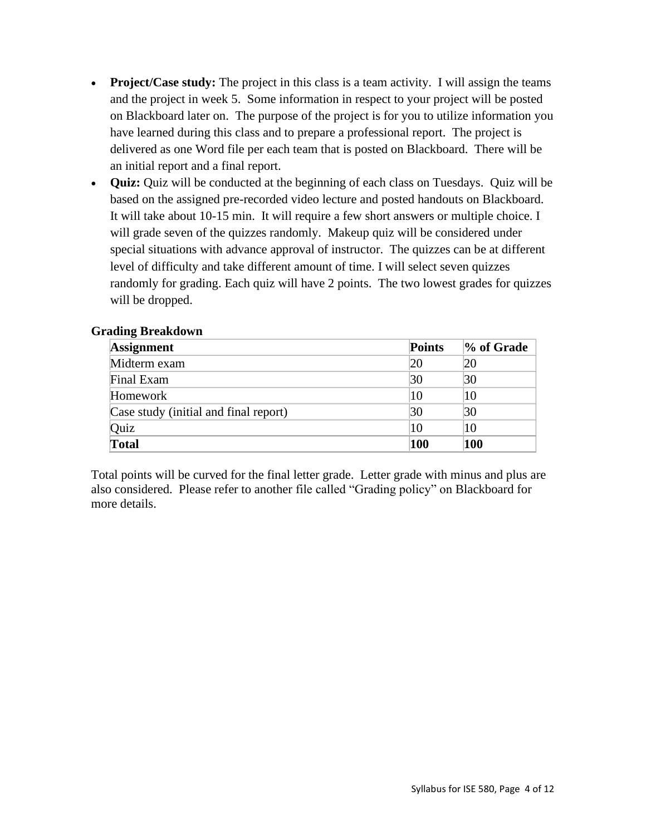- **Project/Case study:** The project in this class is a team activity. I will assign the teams and the project in week 5. Some information in respect to your project will be posted on Blackboard later on. The purpose of the project is for you to utilize information you have learned during this class and to prepare a professional report. The project is delivered as one Word file per each team that is posted on Blackboard. There will be an initial report and a final report.
- **Quiz:** Quiz will be conducted at the beginning of each class on Tuesdays. Quiz will be based on the assigned pre-recorded video lecture and posted handouts on Blackboard. It will take about 10-15 min. It will require a few short answers or multiple choice. I will grade seven of the quizzes randomly. Makeup quiz will be considered under special situations with advance approval of instructor. The quizzes can be at different level of difficulty and take different amount of time. I will select seven quizzes randomly for grading. Each quiz will have 2 points. The two lowest grades for quizzes will be dropped.

| <b>Assignment</b>                     | <b>Points</b> | % of Grade |
|---------------------------------------|---------------|------------|
| Midterm exam                          | 20            | 20         |
| Final Exam                            | 30            | 30         |
| Homework                              | 10            | 10         |
| Case study (initial and final report) | 30            | 30         |
| Quiz                                  | 10            | 10         |
| <b>Total</b>                          | 100           | 100        |

Total points will be curved for the final letter grade. Letter grade with minus and plus are also considered. Please refer to another file called "Grading policy" on Blackboard for more details.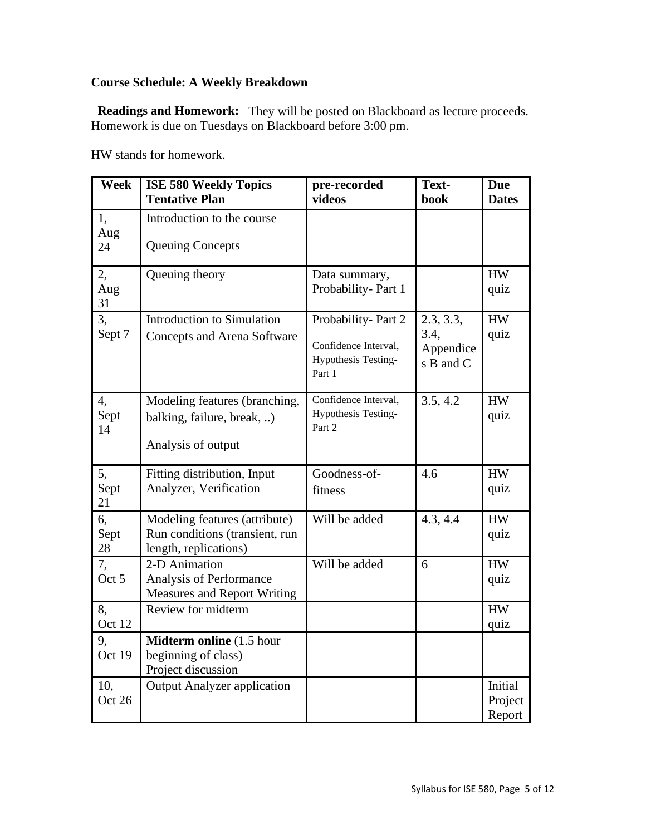## **Course Schedule: A Weekly Breakdown**

Readings and Homework: They will be posted on Blackboard as lecture proceeds. Homework is due on Tuesdays on Blackboard before 3:00 pm.

HW stands for homework.

| Week             | <b>ISE 580 Weekly Topics</b><br><b>Tentative Plan</b>                                    | pre-recorded<br>videos                                                      | Text-<br>book                               | <b>Due</b><br><b>Dates</b>   |
|------------------|------------------------------------------------------------------------------------------|-----------------------------------------------------------------------------|---------------------------------------------|------------------------------|
| 1,<br>Aug<br>24  | Introduction to the course<br><b>Queuing Concepts</b>                                    |                                                                             |                                             |                              |
| 2,<br>Aug<br>31  | Queuing theory                                                                           | Data summary,<br>Probability-Part 1                                         |                                             | <b>HW</b><br>quiz            |
| 3,<br>Sept 7     | <b>Introduction to Simulation</b><br><b>Concepts and Arena Software</b>                  | Probability-Part 2<br>Confidence Interval,<br>Hypothesis Testing-<br>Part 1 | 2.3, 3.3,<br>3.4,<br>Appendice<br>s B and C | <b>HW</b><br>quiz            |
| 4,<br>Sept<br>14 | Modeling features (branching,<br>balking, failure, break, )<br>Analysis of output        | Confidence Interval,<br>Hypothesis Testing-<br>Part 2                       | $3.5, 4.\overline{2}$                       | ${\rm HW}$<br>quiz           |
| 5,<br>Sept<br>21 | Fitting distribution, Input<br>Analyzer, Verification                                    | Goodness-of-<br>fitness                                                     | 4.6                                         | <b>HW</b><br>quiz            |
| 6,<br>Sept<br>28 | Modeling features (attribute)<br>Run conditions (transient, run<br>length, replications) | Will be added                                                               | 4.3, 4.4                                    | <b>HW</b><br>quiz            |
| 7,<br>Oct 5      | 2-D Animation<br>Analysis of Performance<br><b>Measures and Report Writing</b>           | Will be added                                                               | 6                                           | <b>HW</b><br>quiz            |
| 8,<br>Oct 12     | Review for midterm                                                                       |                                                                             |                                             | <b>HW</b><br>quiz            |
| 9,<br>Oct 19     | Midterm online (1.5 hour<br>beginning of class)<br>Project discussion                    |                                                                             |                                             |                              |
| 10,<br>Oct 26    | <b>Output Analyzer application</b>                                                       |                                                                             |                                             | Initial<br>Project<br>Report |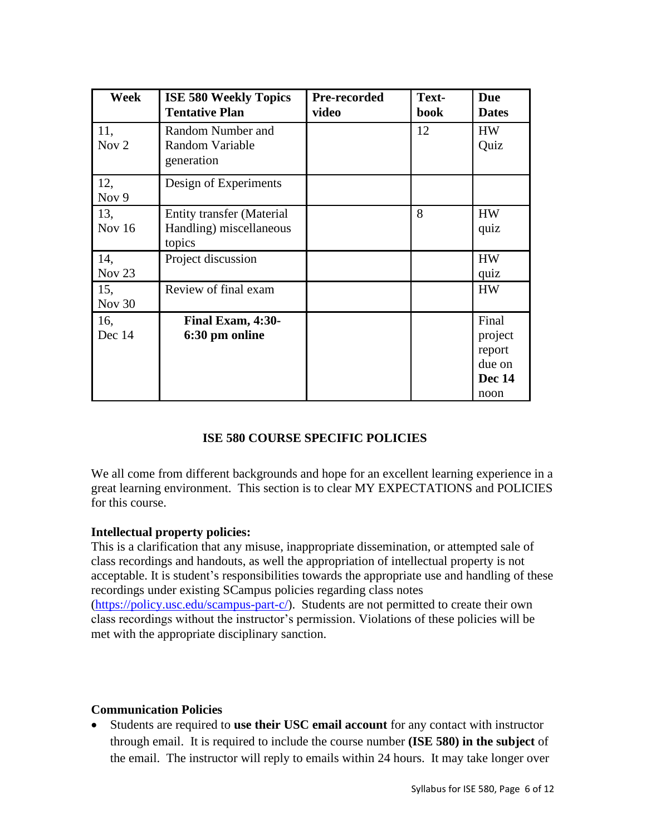| Week            | <b>ISE 580 Weekly Topics</b><br><b>Tentative Plan</b>                 | Pre-recorded<br>video | Text-<br>book | <b>Due</b><br><b>Dates</b>                                    |
|-----------------|-----------------------------------------------------------------------|-----------------------|---------------|---------------------------------------------------------------|
| 11,<br>Nov $2$  | Random Number and<br>Random Variable<br>generation                    |                       | 12            | <b>HW</b><br>Quiz                                             |
| 12,<br>Nov 9    | Design of Experiments                                                 |                       |               |                                                               |
| 13,<br>Nov $16$ | <b>Entity transfer (Material</b><br>Handling) miscellaneous<br>topics |                       | 8             | <b>HW</b><br>quiz                                             |
| 14,<br>Nov $23$ | Project discussion                                                    |                       |               | <b>HW</b><br>quiz                                             |
| 15,<br>Nov 30   | Review of final exam                                                  |                       |               | <b>HW</b>                                                     |
| 16,<br>Dec 14   | Final Exam, 4:30-<br>6:30 pm online                                   |                       |               | Final<br>project<br>report<br>due on<br><b>Dec 14</b><br>noon |

## **ISE 580 COURSE SPECIFIC POLICIES**

We all come from different backgrounds and hope for an excellent learning experience in a great learning environment. This section is to clear MY EXPECTATIONS and POLICIES for this course.

### **Intellectual property policies:**

This is a clarification that any misuse, inappropriate dissemination, or attempted sale of class recordings and handouts, as well the appropriation of intellectual property is not acceptable. It is student's responsibilities towards the appropriate use and handling of these recordings under existing SCampus policies regarding class notes [\(https://policy.usc.edu/scampus-part-c/\)](http://click.comms.usc.edu/?qs=c79d21e58ec0c03885ec166777b22a90d6608763dd0675e477f2ffa290f566a46e15ebbbc40157240e53c6d39642df4a094fcc304fee2765). Students are not permitted to create their own class recordings without the instructor's permission. Violations of these policies will be met with the appropriate disciplinary sanction.

## **Communication Policies**

• Students are required to **use their USC email account** for any contact with instructor through email. It is required to include the course number **(ISE 580) in the subject** of the email. The instructor will reply to emails within 24 hours. It may take longer over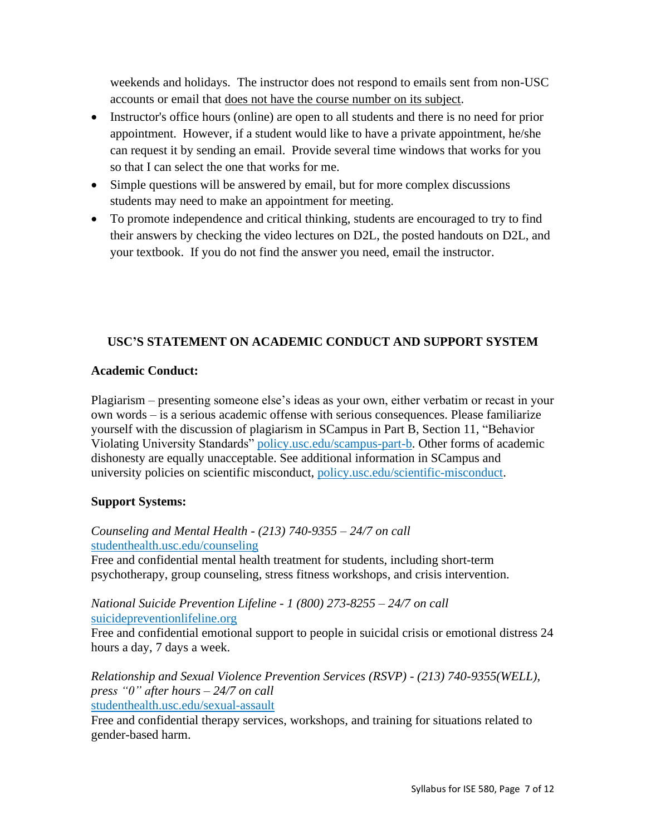weekends and holidays. The instructor does not respond to emails sent from non-USC accounts or email that does not have the course number on its subject.

- Instructor's office hours (online) are open to all students and there is no need for prior appointment. However, if a student would like to have a private appointment, he/she can request it by sending an email. Provide several time windows that works for you so that I can select the one that works for me.
- Simple questions will be answered by email, but for more complex discussions students may need to make an appointment for meeting.
- To promote independence and critical thinking, students are encouraged to try to find their answers by checking the video lectures on D2L, the posted handouts on D2L, and your textbook. If you do not find the answer you need, email the instructor.

# **USC'S STATEMENT ON ACADEMIC CONDUCT AND SUPPORT SYSTEM**

## **Academic Conduct:**

Plagiarism – presenting someone else's ideas as your own, either verbatim or recast in your own words – is a serious academic offense with serious consequences. Please familiarize yourself with the discussion of plagiarism in SCampus in Part B, Section 11, "Behavior Violating University Standards" [policy.usc.edu/scampus-part-b.](https://policy.usc.edu/scampus-part-b/) Other forms of academic dishonesty are equally unacceptable. See additional information in SCampus and university policies on scientific misconduct, [policy.usc.edu/scientific-misconduct.](http://policy.usc.edu/scientific-misconduct)

## **Support Systems:**

## *Counseling and Mental Health - (213) 740-9355 – 24/7 on call* [studenthealth.usc.edu/counseling](https://studenthealth.usc.edu/counseling/)

Free and confidential mental health treatment for students, including short-term psychotherapy, group counseling, stress fitness workshops, and crisis intervention.

## *National Suicide Prevention Lifeline - 1 (800) 273-8255 – 24/7 on call* [suicidepreventionlifeline.org](http://www.suicidepreventionlifeline.org/)

Free and confidential emotional support to people in suicidal crisis or emotional distress 24 hours a day, 7 days a week.

*Relationship and Sexual Violence Prevention Services (RSVP) - (213) 740-9355(WELL), press "0" after hours – 24/7 on call* [studenthealth.usc.edu/sexual-assault](https://studenthealth.usc.edu/sexual-assault/)

Free and confidential therapy services, workshops, and training for situations related to gender-based harm[.](https://engemannshc.usc.edu/rsvp/)